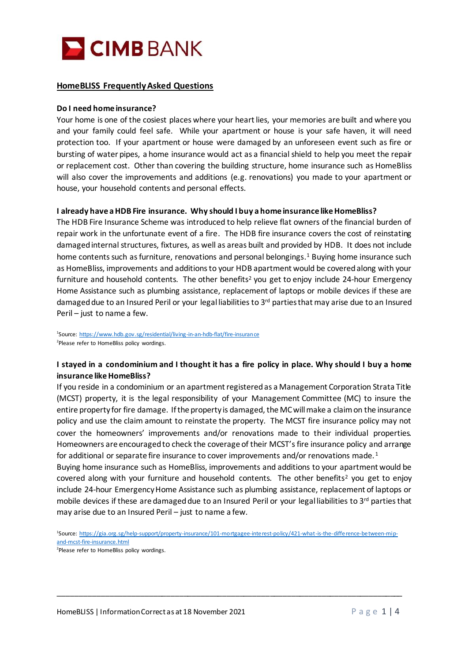

## **HomeBLISS Frequently Asked Questions**

#### **Do I need home insurance?**

Your home is one of the cosiest places where your heart lies, your memories are built and where you and your family could feel safe. While your apartment or house is your safe haven, it will need protection too. If your apartment or house were damaged by an unforeseen event such as fire or bursting of water pipes, a home insurance would act as a financial shield to help you meet the repair or replacement cost. Other than covering the building structure, home insurance such as HomeBliss will also cover the improvements and additions (e.g. renovations) you made to your apartment or house, your household contents and personal effects.

#### **I already have a HDB Fire insurance. Why should I buy a home insurance like HomeBliss?**

The HDB Fire Insurance Scheme was introduced to help relieve flat owners of the financial burden of repair work in the unfortunate event of a fire. The HDB fire insurance covers the cost of reinstating damaged internal structures, fixtures, as well as areas built and provided by HDB. It does not include home contents such as furniture, renovations and personal belongings. <sup>1</sup> Buying home insurance such as HomeBliss, improvements and additions to your HDB apartment would be covered along with your furniture and household contents. The other benefits<sup>2</sup> you get to enjoy include 24-hour Emergency Home Assistance such as plumbing assistance, replacement of laptops or mobile devices if these are damaged due to an Insured Peril or your legal liabilities to 3<sup>rd</sup> parties that may arise due to an Insured Peril – just to name a few.

<sup>1</sup>Source: <u>https://www.hdb.gov.sg/residential/living-in-an-hdb-flat/fire-insurance</u> <sup>2</sup>Please refer to HomeBliss policy wordings.

## **I stayed in a condominium and I thought it has a fire policy in place. Why should I buy a home insurance like HomeBliss?**

If you reside in a condominium or an apartment registered as a Management Corporation Strata Title (MCST) property, it is the legal responsibility of your Management Committee (MC) to insure the entire property for fire damage. If the property is damaged, the MC will make a claim on the insurance policy and use the claim amount to reinstate the property. The MCST fire insurance policy may not cover the homeowners' improvements and/or renovations made to their individual properties. Homeowners are encouraged to check the coverage of their MCST's fire insurance policy and arrange for additional or separate fire insurance to cover improvements and/or renovations made. <sup>1</sup>

Buying home insurance such as HomeBliss, improvements and additions to your apartment would be covered along with your furniture and household contents. The other benefits<sup>2</sup> you get to enjoy include 24-hour Emergency Home Assistance such as plumbing assistance, replacement of laptops or mobile devices if these are damaged due to an Insured Peril or your legal liabilities to 3<sup>rd</sup> parties that may arise due to an Insured Peril – just to name a few.

\_\_\_\_\_\_\_\_\_\_\_\_\_\_\_\_\_\_\_\_\_\_\_\_\_\_\_\_\_\_\_\_\_\_\_\_\_\_\_\_\_\_\_\_\_\_\_\_\_\_\_\_\_\_\_\_\_\_\_\_\_\_\_\_\_\_\_\_\_\_\_\_\_\_\_\_\_\_\_\_

<sup>1</sup> Source[: https://gia.org.sg/help-support/property-insurance/101-mortgagee-interest-policy/421-what-is-the-difference-between-mip](https://gia.org.sg/help-support/property-insurance/101-mortgagee-interest-policy/421-what-is-the-difference-between-mip-and-mcst-fire-insurance.html)[and-mcst-fire-insurance.html](https://gia.org.sg/help-support/property-insurance/101-mortgagee-interest-policy/421-what-is-the-difference-between-mip-and-mcst-fire-insurance.html)

<sup>&</sup>lt;sup>2</sup>Please refer to HomeBliss policy wordings.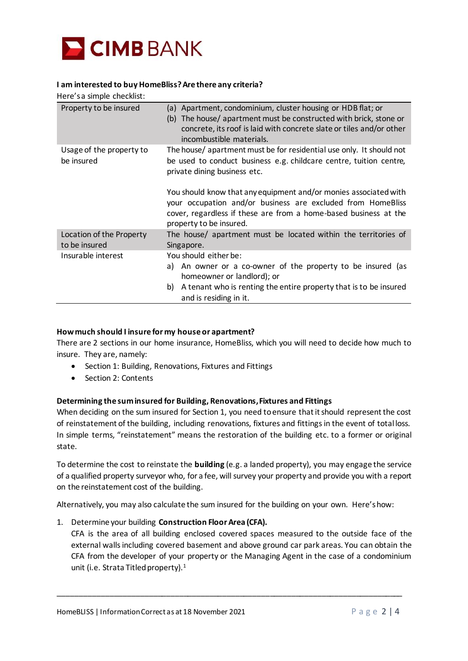

### **I am interested to buy HomeBliss?Are there any criteria?**

Here's a simple checklist: Property to be insured (a) Apartment, condominium, cluster housing or HDB flat; or (b) The house/ apartment must be constructed with brick, stone or concrete, its roof is laid with concrete slate or tiles and/or other incombustible materials. Usage of the property to be insured The house/ apartment must be for residential use only. It should not be used to conduct business e.g. childcare centre, tuition centre, private dining business etc. You should know that any equipment and/or monies associated with your occupation and/or business are excluded from HomeBliss cover, regardless if these are from a home-based business at the property to be insured. Location of the Property to be insured The house/ apartment must be located within the territories of Singapore. Insurable interest You should either be: a) An owner or a co-owner of the property to be insured (as homeowner or landlord); or b) A tenant who is renting the entire property that is to be insured and is residing in it.

### **How much should I insure for my house or apartment?**

There are 2 sections in our home insurance, HomeBliss, which you will need to decide how much to insure. They are, namely:

- Section 1: Building, Renovations, Fixtures and Fittings
- Section 2: Contents

### **Determining the sum insured for Building, Renovations, Fixtures and Fittings**

When deciding on the sum insured for Section 1, you need to ensure that it should represent the cost of reinstatement of the building, including renovations, fixtures and fittings in the event of total loss. In simple terms, "reinstatement" means the restoration of the building etc. to a former or original state.

To determine the cost to reinstate the **building** (e.g. a landed property), you may engage the service of a qualified property surveyor who, for a fee, will survey your property and provide you with a report on the reinstatement cost of the building.

Alternatively, you may also calculate the sum insured for the building on your own. Here's how:

1. Determine your building **Construction Floor Area (CFA).**

CFA is the area of all building enclosed covered spaces measured to the outside face of the external walls including covered basement and above ground car park areas. You can obtain the CFA from the developer of your property or the Managing Agent in the case of a condominium unit (i.e. Strata Titled property).<sup>1</sup>

\_\_\_\_\_\_\_\_\_\_\_\_\_\_\_\_\_\_\_\_\_\_\_\_\_\_\_\_\_\_\_\_\_\_\_\_\_\_\_\_\_\_\_\_\_\_\_\_\_\_\_\_\_\_\_\_\_\_\_\_\_\_\_\_\_\_\_\_\_\_\_\_\_\_\_\_\_\_\_\_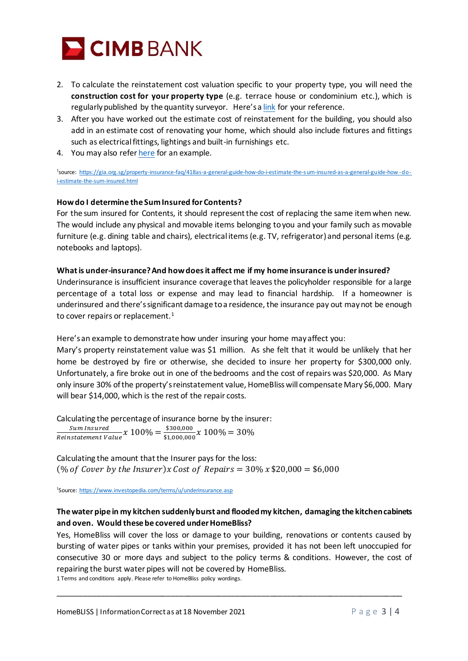

- 2. To calculate the reinstatement cost valuation specific to your property type, you will need the **construction cost for your property type** (e.g. terrace house or condominium etc.), which is regularly published by the quantity surveyor. Here's a [link](https://gia.org.sg/property-insurance-faq/418as-a-general-guide-how-do-i-estimate-the-sum-insured-as-a-general-guide-how-do-i-estimate-the-sum-insured.html) for your reference.
- 3. After you have worked out the estimate cost of reinstatement for the building, you should also add in an estimate cost of renovating your home, which should also include fixtures and fittings such as electrical fittings, lightings and built-in furnishings etc.
- 4. You may also refe[r here](https://gia.org.sg/property-insurance-faq/418as-a-general-guide-how-do-i-estimate-the-sum-insured-as-a-general-guide-how-do-i-estimate-the-sum-insured.html) for an example.

1 source: [https://gia.org.sg/property-insurance-faq/418as-a-general-guide-how-do-i-estimate-the-sum-insured-as-a-general-guide-how](https://gia.org.sg/property-insurance-faq/418as-a-general-guide-how-do-i-estimate-the-sum-insured-as-a-general-guide-how-do-i-estimate-the-sum-insured.html) -do[i-estimate-the-sum-insured.html](https://gia.org.sg/property-insurance-faq/418as-a-general-guide-how-do-i-estimate-the-sum-insured-as-a-general-guide-how-do-i-estimate-the-sum-insured.html)

## **How do I determine the Sum Insured for Contents?**

For the sum insured for Contents, it should represent the cost of replacing the same item when new. The would include any physical and movable items belonging to you and your family such as movable furniture (e.g. dining table and chairs), electrical items (e.g. TV, refrigerator) and personal items (e.g. notebooks and laptops).

### **What is under-insurance? And how does it affect me if my home insurance is under insured?**

Underinsurance is insufficient insurance coverage that leaves the policyholder responsible for a large percentage of a total loss or expense and may lead to financial hardship. If a homeowner is underinsured and there's significant damage to a residence, the insurance pay out may not be enough to cover repairs or replacement.<sup>1</sup>

Here'san example to demonstrate how under insuring your home may affect you:

Mary's property reinstatement value was \$1 million. As she felt that it would be unlikely that her home be destroyed by fire or otherwise, she decided to insure her property for \$300,000 only. Unfortunately, a fire broke out in one of the bedrooms and the cost of repairs was \$20,000. As Mary only insure 30% of the property's reinstatement value, HomeBliss will compensate Mary \$6,000. Mary will bear \$14,000, which is the rest of the repair costs.

Calculating the percentage of insurance borne by the insurer: Sum Insured

 $\frac{Sum\,Insured}{Reinstantement\,Value} x\;100\% = \frac{\$300,000}{\$1,000,000}$  $\frac{$300,000}{$1,000,000}x 100\% = 30\%$ 

Calculating the amount that the Insurer paysfor the loss:  $(\%$  of Cover by the Insurer)x Cost of Repairs = 30% x \$20,000 = \$6,000

<sup>1</sup>Source[: https://www.investopedia.com/terms/u/underinsurance.asp](https://www.investopedia.com/terms/u/underinsurance.asp)

## **The water pipe in my kitchen suddenly burst and flooded my kitchen, damaging the kitchen cabinets and oven. Would these be covered under HomeBliss?**

Yes, HomeBliss will cover the loss or damage to your building, renovations or contents caused by bursting of water pipes or tanks within your premises, provided it has not been left unoccupied for consecutive 30 or more days and subject to the policy terms & conditions. However, the cost of repairing the burst water pipes will not be covered by HomeBliss.

\_\_\_\_\_\_\_\_\_\_\_\_\_\_\_\_\_\_\_\_\_\_\_\_\_\_\_\_\_\_\_\_\_\_\_\_\_\_\_\_\_\_\_\_\_\_\_\_\_\_\_\_\_\_\_\_\_\_\_\_\_\_\_\_\_\_\_\_\_\_\_\_\_\_\_\_\_\_\_\_

1 Terms and conditions apply. Please refer to HomeBliss policy wordings.